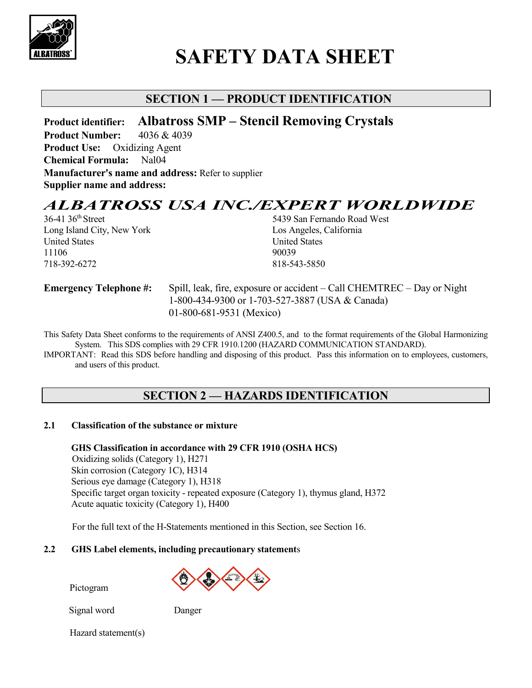

# **SAFETY DATA SHEET**

# **SECTION 1 — PRODUCT IDENTIFICATION**

**Product identifier: Albatross SMP – Stencil Removing Crystals**

**Product Number:** 4036 & 4039 **Product Use:** Oxidizing Agent **Chemical Formula:** Nal04 **Manufacturer's name and address:** Refer to supplier **Supplier name and address:**

# *ALBATROSS USA INC./EXPERT WORLDWIDE*<br>36-41 36<sup>th</sup> Street 5439 San Fernando Road West

Long Island City, New York Los Angeles, California United States United States 11106 90039 718-392-6272 818-543-5850

5439 San Fernando Road West

**Emergency Telephone #:** Spill, leak, fire, exposure or accident – Call CHEMTREC – Day or Night 1-800-434-9300 or 1-703-527-3887 (USA & Canada) 01-800-681-9531 (Mexico)

This Safety Data Sheet conforms to the requirements of ANSI Z400.5, and to the format requirements of the Global Harmonizing System. This SDS complies with 29 CFR 1910.1200 (HAZARD COMMUNICATION STANDARD).

IMPORTANT: Read this SDS before handling and disposing of this product. Pass this information on to employees, customers, and users of this product.

# **SECTION 2 — HAZARDS IDENTIFICATION**

### **2.1 Classification of the substance or mixture**

 **GHS Classification in accordance with 29 CFR 1910 (OSHA HCS)** Oxidizing solids (Category 1), H271 Skin corrosion (Category 1C), H314 Serious eye damage (Category 1), H318 Specific target organ toxicity - repeated exposure (Category 1), thymus gland, H372 Acute aquatic toxicity (Category 1), H400

For the full text of the H-Statements mentioned in this Section, see Section 16.

### **2.2 GHS Label elements, including precautionary statement**s

Pictogram

Signal word Danger

Hazard statement(s)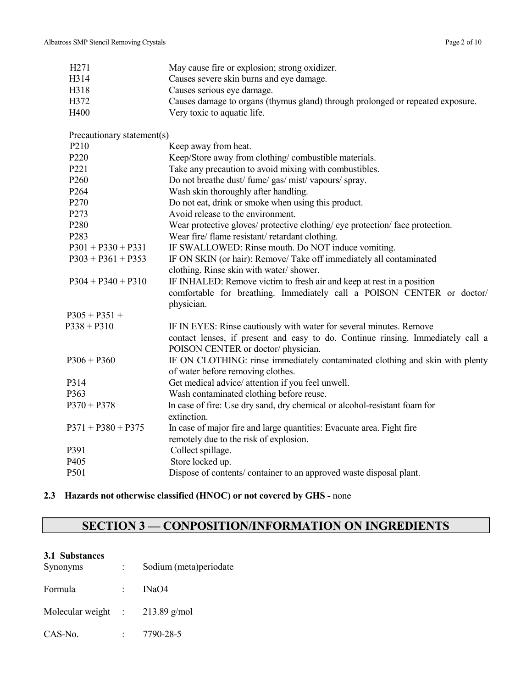| H <sub>271</sub>           | May cause fire or explosion; strong oxidizer.                                            |
|----------------------------|------------------------------------------------------------------------------------------|
| H314                       | Causes severe skin burns and eye damage.                                                 |
| H318                       | Causes serious eye damage.                                                               |
| H372                       | Causes damage to organs (thymus gland) through prolonged or repeated exposure.           |
| H400                       | Very toxic to aquatic life.                                                              |
| Precautionary statement(s) |                                                                                          |
| P210                       | Keep away from heat.                                                                     |
| P220                       | Keep/Store away from clothing/combustible materials.                                     |
| P221                       | Take any precaution to avoid mixing with combustibles.                                   |
| P <sub>260</sub>           | Do not breathe dust/fume/gas/mist/vapours/spray.                                         |
| P264                       | Wash skin thoroughly after handling.                                                     |
| P <sub>270</sub>           | Do not eat, drink or smoke when using this product.                                      |
| P273                       | Avoid release to the environment.                                                        |
| P <sub>280</sub>           | Wear protective gloves/ protective clothing/ eye protection/ face protection.            |
| P283                       | Wear fire/ flame resistant/ retardant clothing.                                          |
| $P301 + P330 + P331$       | IF SWALLOWED: Rinse mouth. Do NOT induce vomiting.                                       |
| $P303 + P361 + P353$       | IF ON SKIN (or hair): Remove/ Take off immediately all contaminated                      |
|                            | clothing. Rinse skin with water/shower.                                                  |
| $P304 + P340 + P310$       | IF INHALED: Remove victim to fresh air and keep at rest in a position                    |
|                            | comfortable for breathing. Immediately call a POISON CENTER or doctor/                   |
| $P305 + P351 +$            | physician.                                                                               |
| $P338 + P310$              | IF IN EYES: Rinse cautiously with water for several minutes. Remove                      |
|                            | contact lenses, if present and easy to do. Continue rinsing. Immediately call a          |
|                            | POISON CENTER or doctor/physician.                                                       |
| $P306 + P360$              |                                                                                          |
|                            | IF ON CLOTHING: rinse immediately contaminated clothing and skin with plenty             |
| P314                       | of water before removing clothes.<br>Get medical advice/ attention if you feel unwell.   |
| P363                       | Wash contaminated clothing before reuse.                                                 |
|                            |                                                                                          |
| $P370 + P378$              | In case of fire: Use dry sand, dry chemical or alcohol-resistant foam for<br>extinction. |
| $P371 + P380 + P375$       | In case of major fire and large quantities: Evacuate area. Fight fire                    |
|                            | remotely due to the risk of explosion.                                                   |
| P391                       | Collect spillage.                                                                        |
| P405                       | Store locked up.                                                                         |
|                            |                                                                                          |
| P501                       | Dispose of contents/ container to an approved waste disposal plant.                      |

### **2.3 Hazards not otherwise classified (HNOC) or not covered by GHS -** none

# **SECTION 3 — CONPOSITION/INFORMATION ON INGREDIENTS**

### **3.1 Substances**

| Synonyms           | Sodium (meta) periodate |
|--------------------|-------------------------|
| Formula            | INaO4                   |
| Molecular weight : | $213.89$ g/mol          |
| CAS-No.            | 7790-28-5               |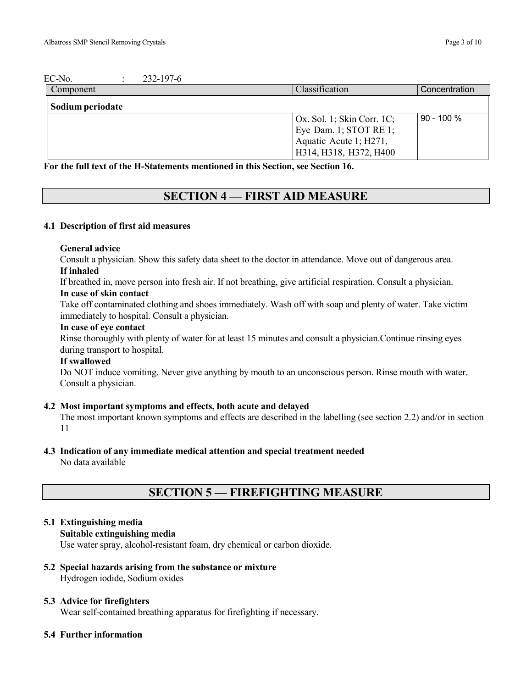| EC-No.<br>232-197-6 |                               |               |
|---------------------|-------------------------------|---------------|
| Component           | Classification                | Concentration |
| Sodium periodate    |                               |               |
|                     | $Ox$ . Sol. 1; Skin Corr. 1C; | l 90 - 100 %  |
|                     | Eye Dam. 1; STOT RE 1;        |               |
|                     | Aquatic Acute 1; H271,        |               |
|                     | H314, H318, H372, H400        |               |

**For the full text of the H-Statements mentioned in this Section, see Section 16.**

### **SECTION 4 — FIRST AID MEASURE**

### **4.1 Description of first aid measures**

### **General advice**

Consult a physician. Show this safety data sheet to the doctor in attendance. Move out of dangerous area. **If inhaled**

If breathed in, move person into fresh air. If not breathing, give artificial respiration. Consult a physician.

### **In case of skin contact**

Take off contaminated clothing and shoes immediately. Wash off with soap and plenty of water. Take victim immediately to hospital. Consult a physician.

### **In case of eye contact**

Rinse thoroughly with plenty of water for at least 15 minutes and consult a physician.Continue rinsing eyes during transport to hospital.

### **If swallowed**

Do NOT induce vomiting. Never give anything by mouth to an unconscious person. Rinse mouth with water. Consult a physician.

### **4.2 Most important symptoms and effects, both acute and delayed**

The most important known symptoms and effects are described in the labelling (see section 2.2) and/or in section 11

# **4.3 Indication of any immediate medical attention and special treatment needed**

No data available

# **SECTION 5 — FIREFIGHTING MEASURE**

### **5.1 Extinguishing media**

### **Suitable extinguishing media**

Use water spray, alcohol-resistant foam, dry chemical or carbon dioxide.

#### **5.2 Special hazards arising from the substance or mixture** Hydrogen iodide, Sodium oxides

### **5.3 Advice for firefighters**

Wear self-contained breathing apparatus for firefighting if necessary.

### **5.4 Further information**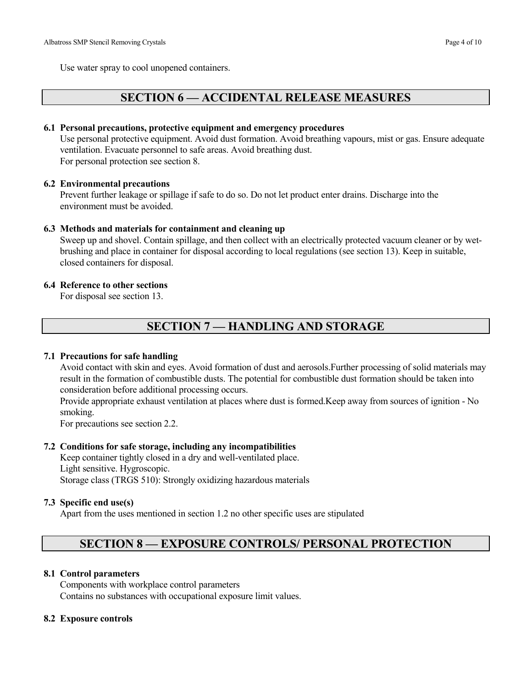Use water spray to cool unopened containers.

### **SECTION 6 — ACCIDENTAL RELEASE MEASURES**

### **6.1 Personal precautions, protective equipment and emergency procedures**

Use personal protective equipment. Avoid dust formation. Avoid breathing vapours, mist or gas. Ensure adequate ventilation. Evacuate personnel to safe areas. Avoid breathing dust. For personal protection see section 8.

### **6.2 Environmental precautions**

Prevent further leakage or spillage if safe to do so. Do not let product enter drains. Discharge into the environment must be avoided.

### **6.3 Methods and materials for containment and cleaning up**

Sweep up and shovel. Contain spillage, and then collect with an electrically protected vacuum cleaner or by wetbrushing and place in container for disposal according to local regulations (see section 13). Keep in suitable, closed containers for disposal.

### **6.4 Reference to other sections**

For disposal see section 13.

# **SECTION 7 — HANDLING AND STORAGE**

### **7.1 Precautions for safe handling**

Avoid contact with skin and eyes. Avoid formation of dust and aerosols.Further processing of solid materials may result in the formation of combustible dusts. The potential for combustible dust formation should be taken into consideration before additional processing occurs.

Provide appropriate exhaust ventilation at places where dust is formed.Keep away from sources of ignition - No smoking.

For precautions see section 2.2.

### **7.2 Conditions for safe storage, including any incompatibilities**

Keep container tightly closed in a dry and well-ventilated place. Light sensitive. Hygroscopic. Storage class (TRGS 510): Strongly oxidizing hazardous materials

### **7.3 Specific end use(s)**

Apart from the uses mentioned in section 1.2 no other specific uses are stipulated

# **SECTION 8 — EXPOSURE CONTROLS/ PERSONAL PROTECTION**

### **8.1 Control parameters**

Components with workplace control parameters Contains no substances with occupational exposure limit values.

### **8.2 Exposure controls**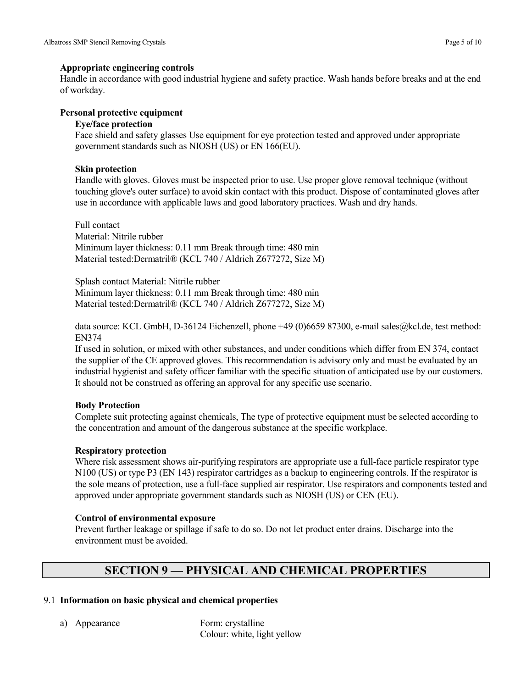### **Appropriate engineering controls**

Handle in accordance with good industrial hygiene and safety practice. Wash hands before breaks and at the end of workday.

### **Personal protective equipment**

### **Eye/face protection**

Face shield and safety glasses Use equipment for eye protection tested and approved under appropriate government standards such as NIOSH (US) or EN 166(EU).

### **Skin protection**

Handle with gloves. Gloves must be inspected prior to use. Use proper glove removal technique (without touching glove's outer surface) to avoid skin contact with this product. Dispose of contaminated gloves after use in accordance with applicable laws and good laboratory practices. Wash and dry hands.

Full contact Material: Nitrile rubber Minimum layer thickness: 0.11 mm Break through time: 480 min Material tested:Dermatril® (KCL 740 / Aldrich Z677272, Size M)

Splash contact Material: Nitrile rubber Minimum layer thickness: 0.11 mm Break through time: 480 min Material tested:Dermatril® (KCL 740 / Aldrich Z677272, Size M)

data source: KCL GmbH, D-36124 Eichenzell, phone +49 (0)6659 87300, e-mail sales@kcl.de, test method: EN374

If used in solution, or mixed with other substances, and under conditions which differ from EN 374, contact the supplier of the CE approved gloves. This recommendation is advisory only and must be evaluated by an industrial hygienist and safety officer familiar with the specific situation of anticipated use by our customers. It should not be construed as offering an approval for any specific use scenario.

### **Body Protection**

Complete suit protecting against chemicals, The type of protective equipment must be selected according to the concentration and amount of the dangerous substance at the specific workplace.

### **Respiratory protection**

Where risk assessment shows air-purifying respirators are appropriate use a full-face particle respirator type N100 (US) or type P3 (EN 143) respirator cartridges as a backup to engineering controls. If the respirator is the sole means of protection, use a full-face supplied air respirator. Use respirators and components tested and approved under appropriate government standards such as NIOSH (US) or CEN (EU).

### **Control of environmental exposure**

Prevent further leakage or spillage if safe to do so. Do not let product enter drains. Discharge into the environment must be avoided.

# **SECTION 9 — PHYSICAL AND CHEMICAL PROPERTIES**

### 9.1 **Information on basic physical and chemical properties**

a) Appearance Form: crystalline Colour: white, light yellow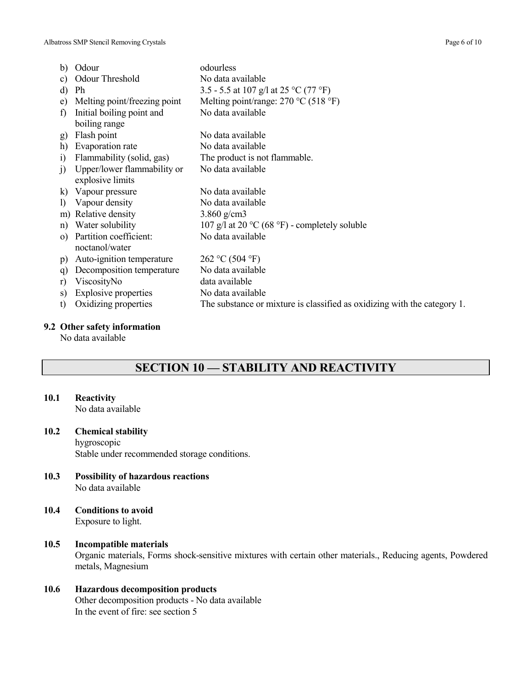| b)           | Odour                        | odourless                                                                  |
|--------------|------------------------------|----------------------------------------------------------------------------|
| C)           | Odour Threshold              | No data available                                                          |
| d)           | Ph                           | 3.5 - 5.5 at 107 g/l at 25 °C (77 °F)                                      |
| e)           | Melting point/freezing point | Melting point/range: $270 \degree C$ (518 $\degree F$ )                    |
| f)           | Initial boiling point and    | No data available                                                          |
|              | boiling range                |                                                                            |
| g)           | Flash point                  | No data available                                                          |
| h)           | Evaporation rate             | No data available                                                          |
| $\ddot{1}$   | Flammability (solid, gas)    | The product is not flammable.                                              |
| j)           | Upper/lower flammability or  | No data available                                                          |
|              | explosive limits             |                                                                            |
| $\bf k)$     | Vapour pressure              | No data available                                                          |
| $\mathbf{D}$ | Vapour density               | No data available                                                          |
| m)           | Relative density             | 3.860 $g/cm3$                                                              |
| n)           | Water solubility             | 107 g/l at 20 $\rm{^{\circ}C}$ (68 $\rm{^{\circ}F}$ ) - completely soluble |
| $\Omega$     | Partition coefficient:       | No data available                                                          |
|              | noctanol/water               |                                                                            |
| p)           | Auto-ignition temperature    | 262 °C (504 °F)                                                            |
| q)           | Decomposition temperature    | No data available                                                          |
| r)           | ViscosityNo                  | data available                                                             |
| S)           | <b>Explosive properties</b>  | No data available                                                          |
| t)           | Oxidizing properties         | The substance or mixture is classified as oxidizing with the category 1.   |
|              |                              |                                                                            |

### **9.2 Other safety information**

No data available

# **SECTION 10 — STABILITY AND REACTIVITY**

### **10.1 Reactivity**

No data available

### **10.2 Chemical stability**

hygroscopic

Stable under recommended storage conditions.

- **10.3 Possibility of hazardous reactions** No data available
- **10.4 Conditions to avoid** Exposure to light.
- **10.5 Incompatible materials** Organic materials, Forms shock-sensitive mixtures with certain other materials., Reducing agents, Powdered metals, Magnesium
- **10.6 Hazardous decomposition products** Other decomposition products - No data available In the event of fire: see section 5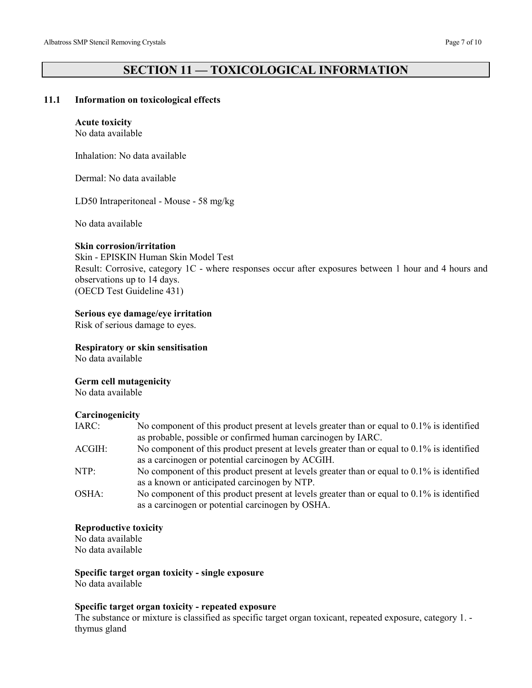# **SECTION 11 — TOXICOLOGICAL INFORMATION**

### **11.1 Information on toxicological effects**

### **Acute toxicity**

No data available

Inhalation: No data available

Dermal: No data available

LD50 Intraperitoneal - Mouse - 58 mg/kg

No data available

### **Skin corrosion/irritation**

Skin - EPISKIN Human Skin Model Test Result: Corrosive, category 1C - where responses occur after exposures between 1 hour and 4 hours and observations up to 14 days.

(OECD Test Guideline 431)

### **Serious eye damage/eye irritation**

Risk of serious damage to eyes.

**Respiratory or skin sensitisation**

No data available

### **Germ cell mutagenicity**

No data available

### **Carcinogenicity**

| IARC:  | No component of this product present at levels greater than or equal to $0.1\%$ is identified |
|--------|-----------------------------------------------------------------------------------------------|
|        | as probable, possible or confirmed human carcinogen by IARC.                                  |
| ACGIH: | No component of this product present at levels greater than or equal to $0.1\%$ is identified |
|        | as a carcinogen or potential carcinogen by ACGIH.                                             |
| NTP:   | No component of this product present at levels greater than or equal to $0.1\%$ is identified |
|        | as a known or anticipated carcinogen by NTP.                                                  |
| OSHA:  | No component of this product present at levels greater than or equal to $0.1\%$ is identified |
|        | as a carcinogen or potential carcinogen by OSHA.                                              |

### **Reproductive toxicity**

No data available No data available

### **Specific target organ toxicity - single exposure**

No data available

### **Specific target organ toxicity - repeated exposure**

The substance or mixture is classified as specific target organ toxicant, repeated exposure, category 1. thymus gland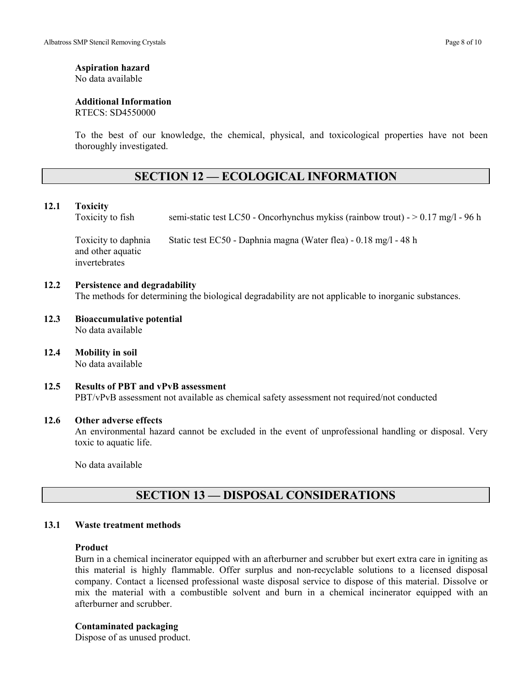## **Aspiration hazard**

No data available

### **Additional Information**

RTECS: SD4550000

To the best of our knowledge, the chemical, physical, and toxicological properties have not been thoroughly investigated.

# **SECTION 12 — ECOLOGICAL INFORMATION**

### **12.1 Toxicity**

Toxicity to fish semi-static test LC50 - Oncorhynchus mykiss (rainbow trout) - > 0.17 mg/l - 96 h

Toxicity to daphnia Static test EC50 - Daphnia magna (Water flea) - 0.18 mg/l - 48 h and other aquatic invertebrates

### **12.2 Persistence and degradability**

The methods for determining the biological degradability are not applicable to inorganic substances.

- **12.3 Bioaccumulative potential** No data available
- **12.4 Mobility in soil** No data available
- **12.5 Results of PBT and vPvB assessment** PBT/vPvB assessment not available as chemical safety assessment not required/not conducted

### **12.6 Other adverse effects**

An environmental hazard cannot be excluded in the event of unprofessional handling or disposal. Very toxic to aquatic life.

No data available

### **SECTION 13 — DISPOSAL CONSIDERATIONS**

### **13.1 Waste treatment methods**

### **Product**

Burn in a chemical incinerator equipped with an afterburner and scrubber but exert extra care in igniting as this material is highly flammable. Offer surplus and non-recyclable solutions to a licensed disposal company. Contact a licensed professional waste disposal service to dispose of this material. Dissolve or mix the material with a combustible solvent and burn in a chemical incinerator equipped with an afterburner and scrubber.

### **Contaminated packaging**

Dispose of as unused product.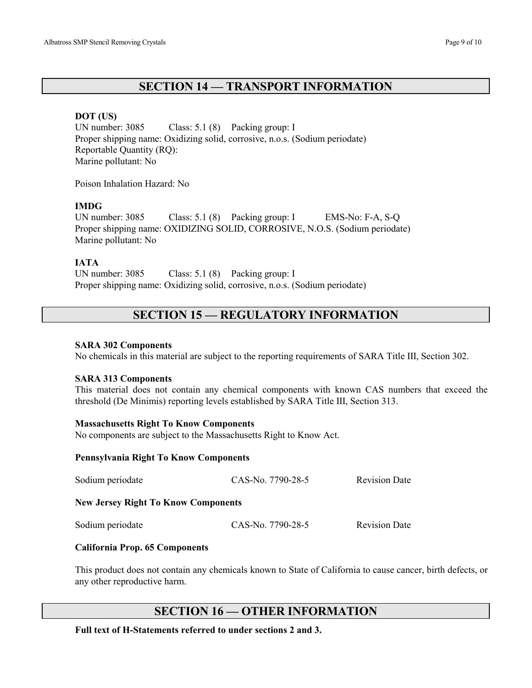### **SECTION 14 — TRANSPORT INFORMATION**

### **DOT (US)**

UN number: 3085 Class: 5.1 (8) Packing group: I Proper shipping name: Oxidizing solid, corrosive, n.o.s. (Sodium periodate) Reportable Quantity (RQ): Marine pollutant: No

Poison Inhalation Hazard: No

### **IMDG**

UN number: 3085 Class: 5.1 (8) Packing group: I EMS-No: F-A, S-Q Proper shipping name: OXIDIZING SOLID, CORROSIVE, N.O.S. (Sodium periodate) Marine pollutant: No

### **IATA**

UN number: 3085 Class: 5.1 (8) Packing group: I Proper shipping name: Oxidizing solid, corrosive, n.o.s. (Sodium periodate)

### **SECTION 15 — REGULATORY INFORMATION**

### **SARA 302 Components**

No chemicals in this material are subject to the reporting requirements of SARA Title III, Section 302.

### **SARA 313 Components**

This material does not contain any chemical components with known CAS numbers that exceed the threshold (De Minimis) reporting levels established by SARA Title III, Section 313.

### **Massachusetts Right To Know Components**

No components are subject to the Massachusetts Right to Know Act.

### **Pennsylvania Right To Know Components**

| Sodium periodate                           | CAS-No. 7790-28-5 | <b>Revision Date</b> |  |
|--------------------------------------------|-------------------|----------------------|--|
| <b>New Jersey Right To Know Components</b> |                   |                      |  |
| Sodium periodate                           | CAS-No. 7790-28-5 | <b>Revision Date</b> |  |
| <b>California Prop. 65 Components</b>      |                   |                      |  |

This product does not contain any chemicals known to State of California to cause cancer, birth defects, or any other reproductive harm.

### **SECTION 16 — OTHER INFORMATION**

**Full text of H-Statements referred to under sections 2 and 3.**